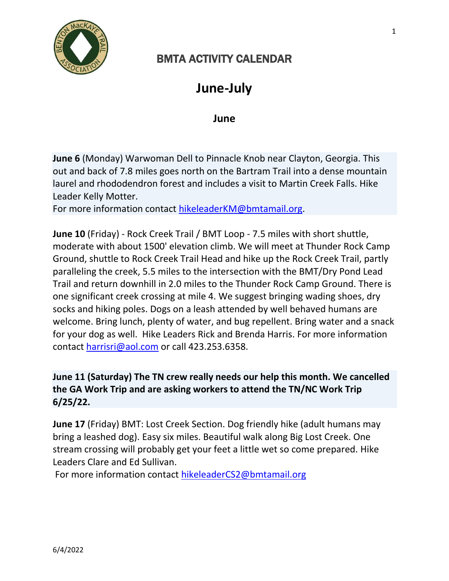

## BMTA ACTIVITY CALENDAR

## **June-July**

**June**

**June 6** (Monday) Warwoman Dell to Pinnacle Knob near Clayton, Georgia. This out and back of 7.8 miles goes north on the Bartram Trail into a dense mountain laurel and rhododendron forest and includes a visit to Martin Creek Falls. Hike Leader Kelly Motter.

For more information contact [hikeleaderKM@bmtamail.org.](mailto:hikeleaderKM@bmtamail.org)

**June 10** (Friday) - Rock Creek Trail / BMT Loop - 7.5 miles with short shuttle, moderate with about 1500' elevation climb. We will meet at Thunder Rock Camp Ground, shuttle to Rock Creek Trail Head and hike up the Rock Creek Trail, partly paralleling the creek, 5.5 miles to the intersection with the BMT/Dry Pond Lead Trail and return downhill in 2.0 miles to the Thunder Rock Camp Ground. There is one significant creek crossing at mile 4. We suggest bringing wading shoes, dry socks and hiking poles. Dogs on a leash attended by well behaved humans are welcome. Bring lunch, plenty of water, and bug repellent. Bring water and a snack for your dog as well. Hike Leaders Rick and Brenda Harris. For more information contact [harrisri@aol.com](mailto:harrisri@aol.com) or call 423.253.6358.

## **June 11 (Saturday) The TN crew really needs our help this month. We cancelled the GA Work Trip and are asking workers to attend the TN/NC Work Trip 6/25/22.**

**June 17** (Friday) BMT: Lost Creek Section. Dog friendly hike (adult humans may bring a leashed dog). Easy six miles. Beautiful walk along Big Lost Creek. One stream crossing will probably get your feet a little wet so come prepared. Hike Leaders Clare and Ed Sullivan.

For more information contact [hikeleaderCS2@bmtamail.org](mailto:hikeleaderCS2@bmtamail.org)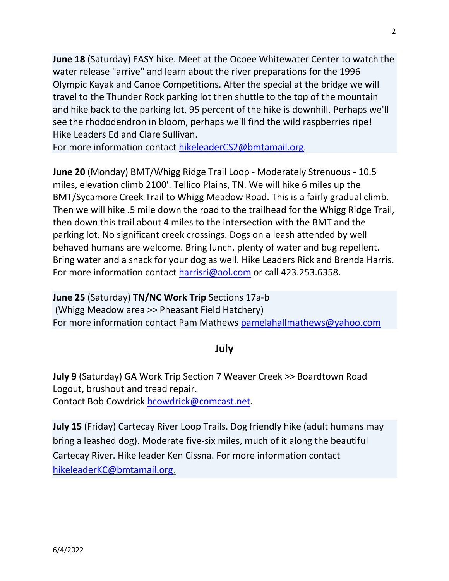**June 18** (Saturday) EASY hike. Meet at the Ocoee Whitewater Center to watch the water release "arrive" and learn about the river preparations for the 1996 Olympic Kayak and Canoe Competitions. After the special at the bridge we will travel to the Thunder Rock parking lot then shuttle to the top of the mountain and hike back to the parking lot, 95 percent of the hike is downhill. Perhaps we'll see the rhododendron in bloom, perhaps we'll find the wild raspberries ripe! Hike Leaders Ed and Clare Sullivan.

For more information contact [hikeleaderCS2@bmtamail.org.](mailto:hikeleaderCS2@bmtamail.org)

**June 20** (Monday) BMT/Whigg Ridge Trail Loop - Moderately Strenuous - 10.5 miles, elevation climb 2100'. Tellico Plains, TN. We will hike 6 miles up the BMT/Sycamore Creek Trail to Whigg Meadow Road. This is a fairly gradual climb. Then we will hike .5 mile down the road to the trailhead for the Whigg Ridge Trail, then down this trail about 4 miles to the intersection with the BMT and the parking lot. No significant creek crossings. Dogs on a leash attended by well behaved humans are welcome. Bring lunch, plenty of water and bug repellent. Bring water and a snack for your dog as well. Hike Leaders Rick and Brenda Harris. For more information contact [harrisri@aol.com](mailto:harrisri@aol.com) or call 423.253.6358.

**June 25** (Saturday) **TN/NC Work Trip** Sections 17a-b (Whigg Meadow area >> Pheasant Field Hatchery) For more information contact Pam Mathews [pamelahallmathews@yahoo.com](mailto:pamelahallmathews@yahoo.com)

## **July**

**July 9** (Saturday) GA Work Trip Section 7 Weaver Creek >> Boardtown Road Logout, brushout and tread repair. Contact Bob Cowdrick [bcowdrick@comcast.net.](mailto:bcowdrick@comcast.net)

**July 15** (Friday) Cartecay River Loop Trails. Dog friendly hike (adult humans may bring a leashed dog). Moderate five-six miles, much of it along the beautiful Cartecay River. Hike leader Ken Cissna. For more information contact [hikeleaderKC@bmtamail.org.](mailto:hikeleaderKC@bmtamail.org)